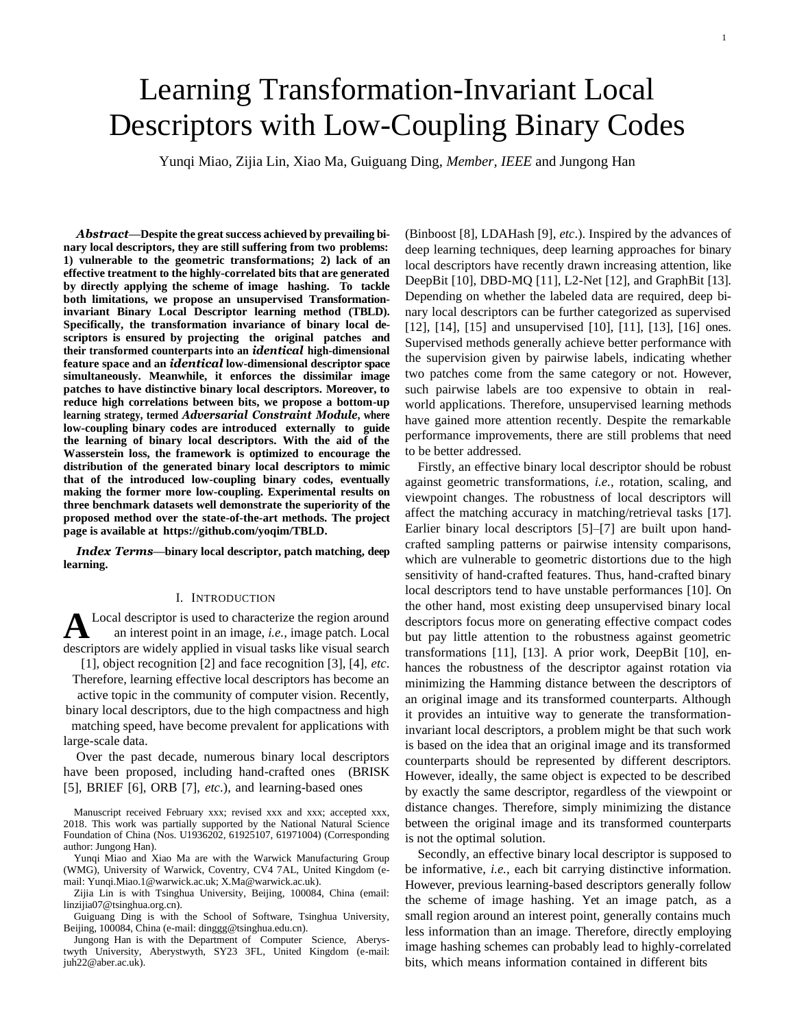# Learning Transformation-Invariant Local Descriptors with Low-Coupling Binary Codes

Yunqi Miao, Zijia Lin, Xiao Ma, Guiguang Ding, *Member, IEEE* and Jungong Han

Abstract-Despite the great success achieved by prevailing bi**nary local descriptors, they are still suffering from two problems: 1) vulnerable to the geometric transformations; 2) lack of an effective treatment to the highly-correlated bits that are generated by directly applying the scheme of image hashing. To tackle both limitations, we propose an unsupervised Transformationinvariant Binary Local Descriptor learning method (TBLD). Specifically, the transformation invariance of binary local descriptors is ensured by projecting the original patches and their transformed counterparts into an** *identical* **high-dimensional feature space and an** *identical* **low-dimensional descriptor space simultaneously. Meanwhile, it enforces the dissimilar image patches to have distinctive binary local descriptors. Moreover, to reduce high correlations between bits, we propose a bottom-up learning strategy, termed** *Adversarial Constraint Module***, where low-coupling binary codes are introduced externally to guide the learning of binary local descriptors. With the aid of the Wasserstein loss, the framework is optimized to encourage the distribution of the generated binary local descriptors to mimic that of the introduced low-coupling binary codes, eventually making the former more low-coupling. Experimental results on three benchmark datasets well demonstrate the superiority of the proposed method over the state-of-the-art methods. The project page is available at https://github.com/yoqim/TBLD.**

*Index Terms***—binary local descriptor, patch matching, deep learning.**

#### I. INTRODUCTION

**A** Local descriptor is used to characterize the region around an interest point in an image, *i.e.*, image patch. Local descriptors are widely applied in visual tasks like visual search Local descriptor is used to characterize the region around an interest point in an image, *i.e.,* image patch. Local

[1], object recognition [2] and face recognition [3], [4], *etc*. Therefore, learning effective local descriptors has become an

active topic in the community of computer vision. Recently, binary local descriptors, due to the high compactness and high matching speed, have become prevalent for applications with large-scale data.

Over the past decade, numerous binary local descriptors have been proposed, including hand-crafted ones (BRISK [5], BRIEF [6], ORB [7], *etc*.), and learning-based ones

Manuscript received February xxx; revised xxx and xxx; accepted xxx, 2018. This work was partially supported by the National Natural Science Foundation of China (Nos. U1936202, 61925107, 61971004) (Corresponding author: Jungong Han).

Yunqi Miao and Xiao Ma are with the Warwick Manufacturing Group (WMG), University of Warwick, Coventry, CV4 7AL, United Kingdom (email: Yunqi.Miao.1@warwick.ac.uk; X.Ma@warwick.ac.uk).

Zijia Lin is with Tsinghua University, Beijing, 100084, China (email: linzijia07@tsinghua.org.cn).

Guiguang Ding is with the School of Software, Tsinghua University, Beijing, 100084, China (e-mail: dinggg@tsinghua.edu.cn).

Jungong Han is with the Department of Computer Science, Aberystwyth University, Aberystwyth, SY23 3FL, United Kingdom (e-mail: juh22@aber.ac.uk).

(Binboost [8], LDAHash [9], *etc*.). Inspired by the advances of deep learning techniques, deep learning approaches for binary local descriptors have recently drawn increasing attention, like DeepBit [10], DBD-MQ [11], L2-Net [12], and GraphBit [13]. Depending on whether the labeled data are required, deep binary local descriptors can be further categorized as supervised [12], [14], [15] and unsupervised [10], [11], [13], [16] ones. Supervised methods generally achieve better performance with the supervision given by pairwise labels, indicating whether two patches come from the same category or not. However, such pairwise labels are too expensive to obtain in realworld applications. Therefore, unsupervised learning methods have gained more attention recently. Despite the remarkable performance improvements, there are still problems that need to be better addressed.

Firstly, an effective binary local descriptor should be robust against geometric transformations, *i.e.,* rotation, scaling, and viewpoint changes. The robustness of local descriptors will affect the matching accuracy in matching/retrieval tasks [17]. Earlier binary local descriptors [5]–[7] are built upon handcrafted sampling patterns or pairwise intensity comparisons, which are vulnerable to geometric distortions due to the high sensitivity of hand-crafted features. Thus, hand-crafted binary local descriptors tend to have unstable performances [10]. On the other hand, most existing deep unsupervised binary local descriptors focus more on generating effective compact codes but pay little attention to the robustness against geometric transformations [11], [13]. A prior work, DeepBit [10], enhances the robustness of the descriptor against rotation via minimizing the Hamming distance between the descriptors of an original image and its transformed counterparts. Although it provides an intuitive way to generate the transformationinvariant local descriptors, a problem might be that such work is based on the idea that an original image and its transformed counterparts should be represented by different descriptors. However, ideally, the same object is expected to be described by exactly the same descriptor, regardless of the viewpoint or distance changes. Therefore, simply minimizing the distance between the original image and its transformed counterparts is not the optimal solution.

Secondly, an effective binary local descriptor is supposed to be informative, *i.e.,* each bit carrying distinctive information. However, previous learning-based descriptors generally follow the scheme of image hashing. Yet an image patch, as a small region around an interest point, generally contains much less information than an image. Therefore, directly employing image hashing schemes can probably lead to highly-correlated bits, which means information contained in different bits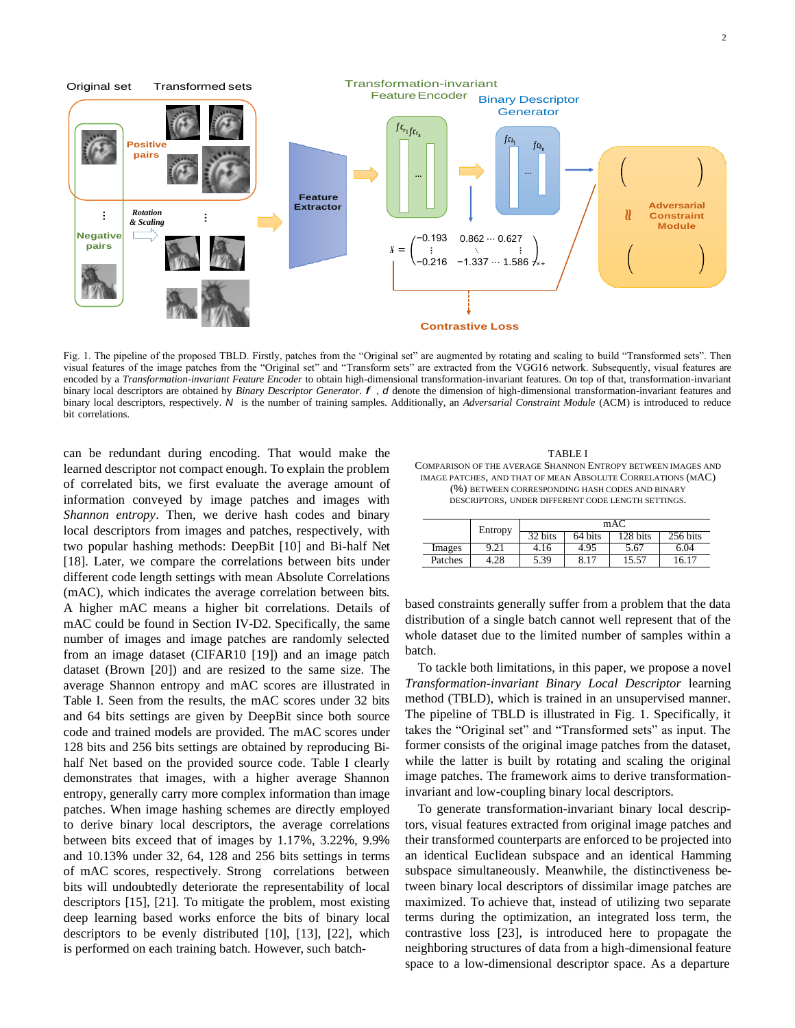

Fig. 1. The pipeline of the proposed TBLD. Firstly, patches from the "Original set" are augmented by rotating and scaling to build "Transformed sets". Then visual features of the image patches from the "Original set" and "Transform sets" are extracted from the VGG16 network. Subsequently, visual features are encoded by a *Transformation-invariant Feature Encoder* to obtain high-dimensional transformation-invariant features. On top of that, transformation-invariant binary local descriptors are obtained by *Binary Descriptor Generator*. *f* , *d* denote the dimension of high-dimensional transformation-invariant features and binary local descriptors, respectively. *N* is the number of training samples. Additionally, an *Adversarial Constraint Module* (ACM) is introduced to reduce bit correlations.

can be redundant during encoding. That would make the learned descriptor not compact enough. To explain the problem of correlated bits, we first evaluate the average amount of information conveyed by image patches and images with *Shannon entropy*. Then, we derive hash codes and binary local descriptors from images and patches, respectively, with two popular hashing methods: DeepBit [10] and Bi-half Net [18]. Later, we compare the correlations between bits under different code length settings with mean Absolute Correlations (mAC), which indicates the average correlation between bits. A higher mAC means a higher bit correlations. Details of mAC could be found in Section IV-D2. Specifically, the same number of images and image patches are randomly selected from an image dataset (CIFAR10 [19]) and an image patch dataset (Brown [20]) and are resized to the same size. The average Shannon entropy and mAC scores are illustrated in Table I. Seen from the results, the mAC scores under 32 bits and 64 bits settings are given by DeepBit since both source code and trained models are provided. The mAC scores under 128 bits and 256 bits settings are obtained by reproducing Bihalf Net based on the provided source code. Table I clearly demonstrates that images, with a higher average Shannon entropy, generally carry more complex information than image patches. When image hashing schemes are directly employed to derive binary local descriptors, the average correlations between bits exceed that of images by 1.17%, 3.22%, 9.9% and 10.13% under 32, 64, 128 and 256 bits settings in terms of mAC scores, respectively. Strong correlations between bits will undoubtedly deteriorate the representability of local descriptors [15], [21]. To mitigate the problem, most existing deep learning based works enforce the bits of binary local descriptors to be evenly distributed [10], [13], [22], which is performed on each training batch. However, such batch-

#### TABLE I COMPARISON OF THE AVERAGE SHANNON ENTROPY BETWEEN IMAGES AND IMAGE PATCHES, AND THAT OF MEAN ABSOLUTE CORRELATIONS (MAC) (%) BETWEEN CORRESPONDING HASH CODES AND BINARY DESCRIPTORS, UNDER DIFFERENT CODE LENGTH SETTINGS.

|         | Entropy | mAC  |         |                   |                              |  |  |
|---------|---------|------|---------|-------------------|------------------------------|--|--|
|         |         | bits | 64 bits | $28 \text{ bits}$ | $256 \overline{\text{bits}}$ |  |  |
| Images  | 9.21    | 4.16 | 4.95    | 5.67              | 6.04                         |  |  |
| Patches | 4.28    | 5.39 | 8.17    | 15.57             | б.                           |  |  |

based constraints generally suffer from a problem that the data distribution of a single batch cannot well represent that of the whole dataset due to the limited number of samples within a batch.

To tackle both limitations, in this paper, we propose a novel *Transformation-invariant Binary Local Descriptor* learning method (TBLD), which is trained in an unsupervised manner. The pipeline of TBLD is illustrated in Fig. 1. Specifically, it takes the "Original set" and "Transformed sets" as input. The former consists of the original image patches from the dataset, while the latter is built by rotating and scaling the original image patches. The framework aims to derive transformationinvariant and low-coupling binary local descriptors.

To generate transformation-invariant binary local descriptors, visual features extracted from original image patches and their transformed counterparts are enforced to be projected into an identical Euclidean subspace and an identical Hamming subspace simultaneously. Meanwhile, the distinctiveness between binary local descriptors of dissimilar image patches are maximized. To achieve that, instead of utilizing two separate terms during the optimization, an integrated loss term, the contrastive loss [23], is introduced here to propagate the neighboring structures of data from a high-dimensional feature space to a low-dimensional descriptor space. As a departure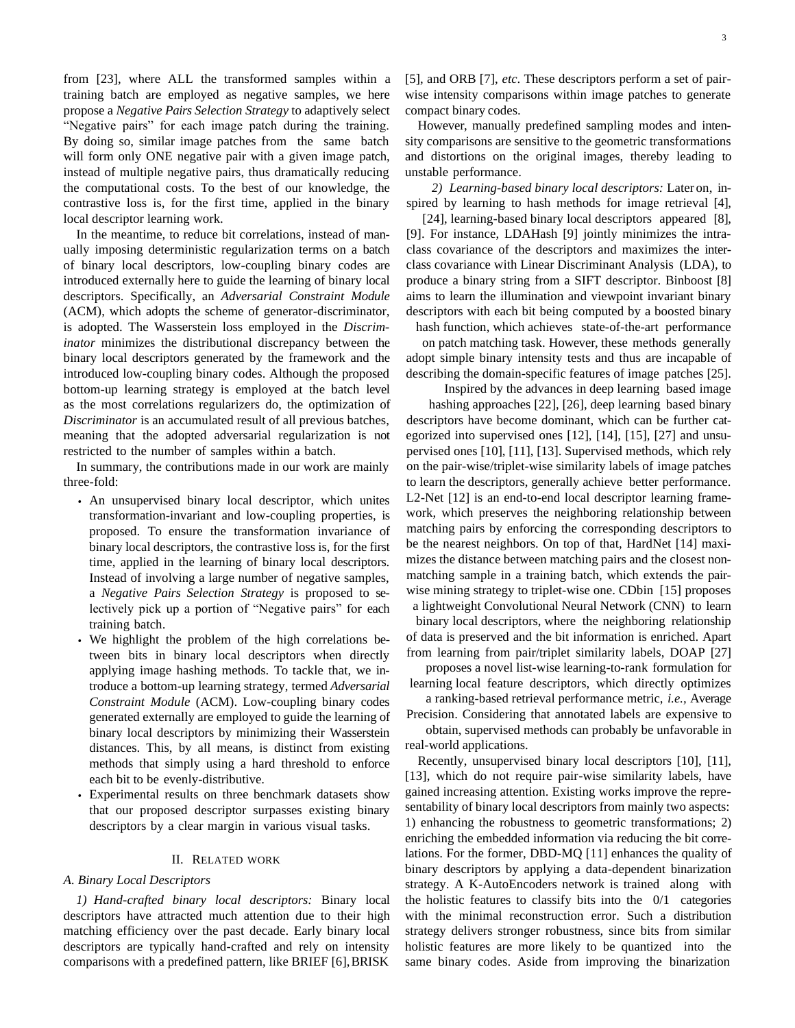from [23], where ALL the transformed samples within a training batch are employed as negative samples, we here propose a *Negative Pairs Selection Strategy* to adaptively select "Negative pairs" for each image patch during the training. By doing so, similar image patches from the same batch will form only ONE negative pair with a given image patch, instead of multiple negative pairs, thus dramatically reducing the computational costs. To the best of our knowledge, the contrastive loss is, for the first time, applied in the binary local descriptor learning work.

In the meantime, to reduce bit correlations, instead of manually imposing deterministic regularization terms on a batch of binary local descriptors, low-coupling binary codes are introduced externally here to guide the learning of binary local descriptors. Specifically, an *Adversarial Constraint Module*  (ACM), which adopts the scheme of generator-discriminator, is adopted. The Wasserstein loss employed in the *Discriminator* minimizes the distributional discrepancy between the binary local descriptors generated by the framework and the introduced low-coupling binary codes. Although the proposed bottom-up learning strategy is employed at the batch level as the most correlations regularizers do, the optimization of *Discriminator* is an accumulated result of all previous batches, meaning that the adopted adversarial regularization is not restricted to the number of samples within a batch.

In summary, the contributions made in our work are mainly three-fold:

- *•* An unsupervised binary local descriptor, which unites transformation-invariant and low-coupling properties, is proposed. To ensure the transformation invariance of binary local descriptors, the contrastive loss is, for the first time, applied in the learning of binary local descriptors. Instead of involving a large number of negative samples, a *Negative Pairs Selection Strategy* is proposed to selectively pick up a portion of "Negative pairs" for each training batch.
- *•* We highlight the problem of the high correlations between bits in binary local descriptors when directly applying image hashing methods. To tackle that, we introduce a bottom-up learning strategy, termed *Adversarial Constraint Module* (ACM). Low-coupling binary codes generated externally are employed to guide the learning of binary local descriptors by minimizing their Wasserstein distances. This, by all means, is distinct from existing methods that simply using a hard threshold to enforce each bit to be evenly-distributive.
- *•* Experimental results on three benchmark datasets show that our proposed descriptor surpasses existing binary descriptors by a clear margin in various visual tasks.

## II. RELATED WORK

#### *A. Binary Local Descriptors*

*1) Hand-crafted binary local descriptors:* Binary local descriptors have attracted much attention due to their high matching efficiency over the past decade. Early binary local descriptors are typically hand-crafted and rely on intensity comparisons with a predefined pattern, like BRIEF [6], BRISK

[5], and ORB [7], *etc*. These descriptors perform a set of pairwise intensity comparisons within image patches to generate compact binary codes.

However, manually predefined sampling modes and intensity comparisons are sensitive to the geometric transformations and distortions on the original images, thereby leading to unstable performance.

*2) Learning-based binary local descriptors:* Later on, inspired by learning to hash methods for image retrieval [4],

[24], learning-based binary local descriptors appeared [8], [9]. For instance, LDAHash [9] jointly minimizes the intraclass covariance of the descriptors and maximizes the interclass covariance with Linear Discriminant Analysis (LDA), to produce a binary string from a SIFT descriptor. Binboost [8] aims to learn the illumination and viewpoint invariant binary descriptors with each bit being computed by a boosted binary

hash function, which achieves state-of-the-art performance on patch matching task. However, these methods generally adopt simple binary intensity tests and thus are incapable of describing the domain-specific features of image patches [25].

Inspired by the advances in deep learning based image hashing approaches [22], [26], deep learning based binary descriptors have become dominant, which can be further categorized into supervised ones [12], [14], [15], [27] and unsupervised ones [10], [11], [13]. Supervised methods, which rely on the pair-wise/triplet-wise similarity labels of image patches to learn the descriptors, generally achieve better performance. L2-Net [12] is an end-to-end local descriptor learning framework, which preserves the neighboring relationship between matching pairs by enforcing the corresponding descriptors to be the nearest neighbors. On top of that, HardNet [14] maximizes the distance between matching pairs and the closest nonmatching sample in a training batch, which extends the pairwise mining strategy to triplet-wise one. CDbin [15] proposes a lightweight Convolutional Neural Network (CNN) to learn

binary local descriptors, where the neighboring relationship of data is preserved and the bit information is enriched. Apart from learning from pair/triplet similarity labels, DOAP [27]

proposes a novel list-wise learning-to-rank formulation for learning local feature descriptors, which directly optimizes a ranking-based retrieval performance metric, *i.e.,* Average

Precision. Considering that annotated labels are expensive to

obtain, supervised methods can probably be unfavorable in real-world applications.

Recently, unsupervised binary local descriptors [10], [11], [13], which do not require pair-wise similarity labels, have gained increasing attention. Existing works improve the representability of binary local descriptors from mainly two aspects: 1) enhancing the robustness to geometric transformations; 2) enriching the embedded information via reducing the bit correlations. For the former, DBD-MQ [11] enhances the quality of binary descriptors by applying a data-dependent binarization strategy. A K-AutoEncoders network is trained along with the holistic features to classify bits into the  $0/1$  categories with the minimal reconstruction error. Such a distribution strategy delivers stronger robustness, since bits from similar holistic features are more likely to be quantized into the same binary codes. Aside from improving the binarization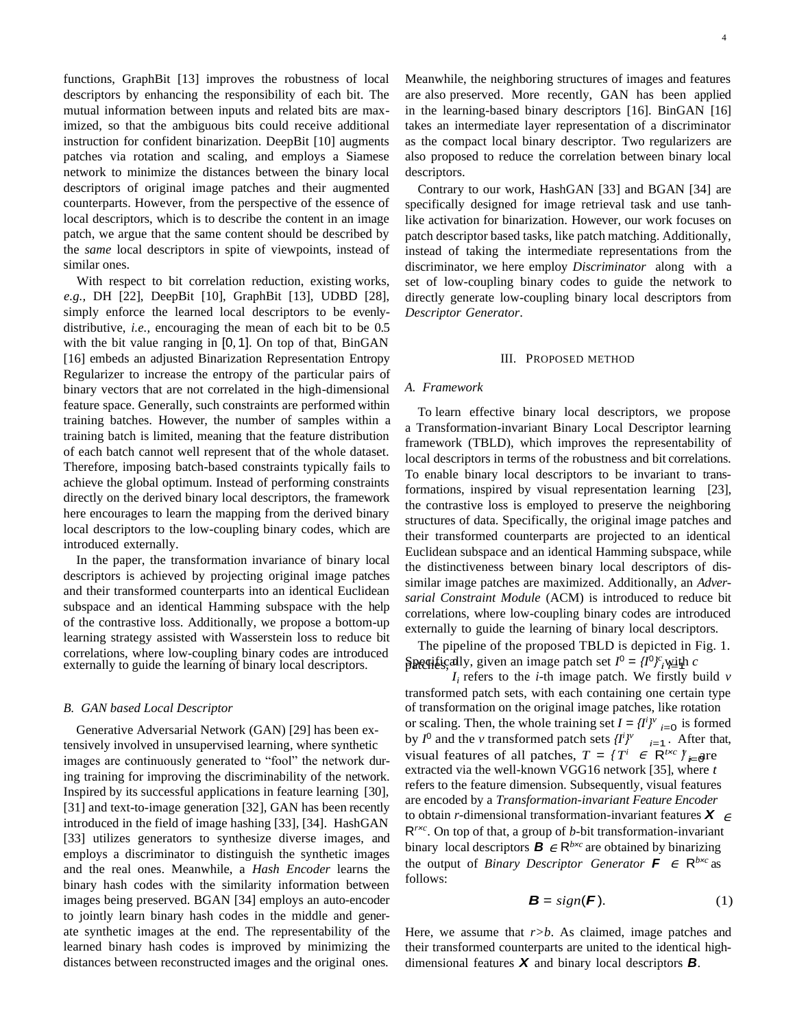functions, GraphBit [13] improves the robustness of local descriptors by enhancing the responsibility of each bit. The mutual information between inputs and related bits are maximized, so that the ambiguous bits could receive additional instruction for confident binarization. DeepBit [10] augments patches via rotation and scaling, and employs a Siamese network to minimize the distances between the binary local descriptors of original image patches and their augmented counterparts. However, from the perspective of the essence of local descriptors, which is to describe the content in an image patch, we argue that the same content should be described by the *same* local descriptors in spite of viewpoints, instead of similar ones.

With respect to bit correlation reduction, existing works, *e.g.,* DH [22], DeepBit [10], GraphBit [13], UDBD [28], simply enforce the learned local descriptors to be evenlydistributive, *i.e.,* encouraging the mean of each bit to be 0.5 with the bit value ranging in [0*,* 1]. On top of that, BinGAN [16] embeds an adjusted Binarization Representation Entropy Regularizer to increase the entropy of the particular pairs of binary vectors that are not correlated in the high-dimensional feature space. Generally, such constraints are performed within training batches. However, the number of samples within a training batch is limited, meaning that the feature distribution of each batch cannot well represent that of the whole dataset. Therefore, imposing batch-based constraints typically fails to achieve the global optimum. Instead of performing constraints directly on the derived binary local descriptors, the framework here encourages to learn the mapping from the derived binary local descriptors to the low-coupling binary codes, which are introduced externally.

In the paper, the transformation invariance of binary local descriptors is achieved by projecting original image patches and their transformed counterparts into an identical Euclidean subspace and an identical Hamming subspace with the help of the contrastive loss. Additionally, we propose a bottom-up learning strategy assisted with Wasserstein loss to reduce bit correlations, where low-coupling binary codes are introduced correlations, where low-coupling binary codes are introduced<br>externally to guide the learning of binary local descriptors.  $\beta$ **Regilically**, given an image patch set  $I^0 = \{I^0\}_{i=1}^{c}$  with c

#### *B. GAN based Local Descriptor*

Generative Adversarial Network (GAN) [29] has been extensively involved in unsupervised learning, where synthetic images are continuously generated to "fool" the network during training for improving the discriminability of the network. Inspired by its successful applications in feature learning [30], [31] and text-to-image generation [32], GAN has been recently introduced in the field of image hashing [33], [34]. HashGAN [33] utilizes generators to synthesize diverse images, and employs a discriminator to distinguish the synthetic images and the real ones. Meanwhile, a *Hash Encoder* learns the binary hash codes with the similarity information between images being preserved. BGAN [34] employs an auto-encoder to jointly learn binary hash codes in the middle and generate synthetic images at the end. The representability of the learned binary hash codes is improved by minimizing the distances between reconstructed images and the original ones.

4

Meanwhile, the neighboring structures of images and features are also preserved. More recently, GAN has been applied in the learning-based binary descriptors [16]. BinGAN [16] takes an intermediate layer representation of a discriminator as the compact local binary descriptor. Two regularizers are also proposed to reduce the correlation between binary local descriptors.

Contrary to our work, HashGAN [33] and BGAN [34] are specifically designed for image retrieval task and use tanhlike activation for binarization. However, our work focuses on patch descriptor based tasks, like patch matching. Additionally, instead of taking the intermediate representations from the discriminator, we here employ *Discriminator* along with a set of low-coupling binary codes to guide the network to directly generate low-coupling binary local descriptors from *Descriptor Generator*.

#### III. PROPOSED METHOD

## *A. Framework*

To learn effective binary local descriptors, we propose a Transformation-invariant Binary Local Descriptor learning framework (TBLD), which improves the representability of local descriptors in terms of the robustness and bit correlations. To enable binary local descriptors to be invariant to transformations, inspired by visual representation learning [23], the contrastive loss is employed to preserve the neighboring structures of data. Specifically, the original image patches and their transformed counterparts are projected to an identical Euclidean subspace and an identical Hamming subspace, while the distinctiveness between binary local descriptors of dissimilar image patches are maximized. Additionally, an *Adversarial Constraint Module* (ACM) is introduced to reduce bit correlations, where low-coupling binary codes are introduced externally to guide the learning of binary local descriptors.

The pipeline of the proposed TBLD is depicted in Fig. 1.

or scaling. Then, the whole training set  $I = \{I^i\}^v_{i=0}$  is formed by *I*<sup>0</sup> and the *v* transformed patch sets  $\{I^i\}^v$  <sub>*i*=1</sub>. After that, visual features of all patches,  $T = \{T^i \in \mathbb{R}^{t \times c} \}_{\iota=0}^{\infty}$ to obtain *r*-dimensional transformation-invariant features  $X \in$ the output of *Binary Descriptor Generator*  $\boldsymbol{F} \in \mathsf{R}^{b \times c}$  as binary local descriptors  $\mathbf{B} \in \mathbb{R}^{b \times c}$  are obtained by binarizing  $I_i$  refers to the *i*-th image patch. We firstly build *v* transformed patch sets, with each containing one certain type of transformation on the original image patches, like rotation extracted via the well-known VGG16 network [35], where *t* refers to the feature dimension. Subsequently, visual features are encoded by a *Transformation-invariant Feature Encoder*  R*<sup>r</sup>×<sup>c</sup>* . On top of that, a group of *b*-bit transformation-invariant follows:

$$
\mathbf{B} = sign(\mathbf{F}).\tag{1}
$$

Here, we assume that *r>b*. As claimed, image patches and their transformed counterparts are united to the identical highdimensional features *X* and binary local descriptors *B*.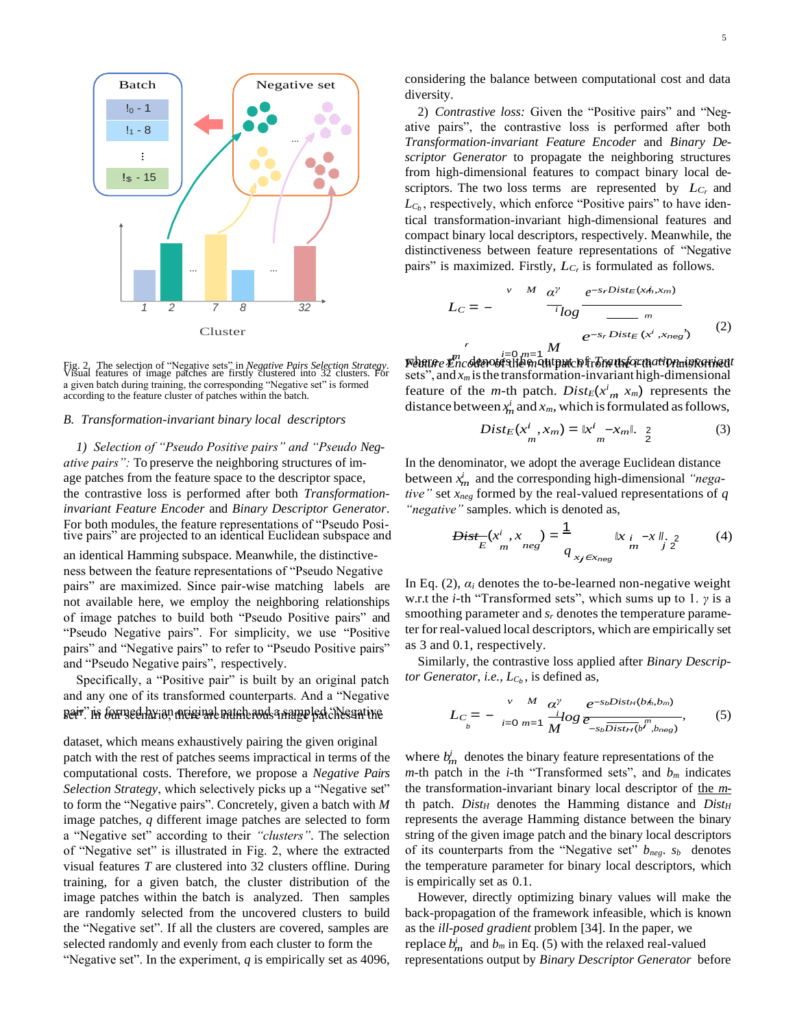

Fig. 2. The selection of "Negative sets" in *Negative Pairs Selection Strategy*. Visual features of image patches are firstly clustered into 32 clusters. For a given batch during training, the corresponding "Negative set" is formed according to the feature cluster of patches within the batch.

#### *B. Transformation-invariant binary local descriptors*

*1) Selection of "Pseudo Positive pairs" and "Pseudo Negative pairs":* To preserve the neighboring structures of image patches from the feature space to the descriptor space, the contrastive loss is performed after both *Transformationinvariant Feature Encoder* and *Binary Descriptor Generator*. For both modules, the feature representations of "Pseudo Positive pairs" are projected to an identical Euclidean subspace and

an identical Hamming subspace. Meanwhile, the distinctiveness between the feature representations of "Pseudo Negative pairs" are maximized. Since pair-wise matching labels are not available here, we employ the neighboring relationships of image patches to build both "Pseudo Positive pairs" and "Pseudo Negative pairs". For simplicity, we use "Positive pairs" and "Negative pairs" to refer to "Pseudo Positive pairs" and "Pseudo Negative pairs", respectively.

Specifically, a "Positive pair" is built by an original patch and any one of its transformed counterparts. And a "Negative pair." In formeel by an original patch and a sampled the samples in the *L<sub>C</sub>* = −

dataset, which means exhaustively pairing the given original patch with the rest of patches seems impractical in terms of the computational costs. Therefore, we propose a *Negative Pairs Selection Strategy*, which selectively picks up a "Negative set" to form the "Negative pairs". Concretely, given a batch with *M*  image patches, *q* different image patches are selected to form a "Negative set" according to their *"clusters"*. The selection of "Negative set" is illustrated in Fig. 2, where the extracted visual features *T* are clustered into 32 clusters offline. During training, for a given batch, the cluster distribution of the image patches within the batch is analyzed. Then samples are randomly selected from the uncovered clusters to build the "Negative set". If all the clusters are covered, samples are selected randomly and evenly from each cluster to form the

considering the balance between computational cost and data diversity.

2) *Contrastive loss:* Given the "Positive pairs" and "Negative pairs", the contrastive loss is performed after both *Transformation-invariant Feature Encoder* and *Binary Descriptor Generator* to propagate the neighboring structures from high-dimensional features to compact binary local descriptors. The two loss terms are represented by *L<sup>C</sup>r* and  $L_{C_b}$ , respectively, which enforce "Positive pairs" to have identical transformation-invariant high-dimensional features and compact binary local descriptors, respectively. Meanwhile, the distinctiveness between feature representations of "Negative pairs" is maximized. Firstly, *L<sup>C</sup><sup>r</sup>* is formulated as follows.

$$
L_C = -\begin{array}{c} v & M & \alpha^{\gamma} & e^{-s_rDist_E(xh, x_m)} \\ \hline i \log \frac{e^{-s_rDist_E(xh, x_m)}}{m} \\ \hline \frac{1}{2}m & e^{-s_rDist_E(x^i, x_{\text{neg}})} \end{array} \tag{2}
$$

*m* feature of the *m*-th patch.  $Dist_E(x^i_m, x_m)$  represents the distance between  $x_m^i$  and  $x_m$ , which is formulated as follows, Fig. 2. The selection of "Negative sets" in *Negative Pairs Selection Strategy*. **W**<br>Fig. 2. The selection of "Negative sets" in *Negative Pairs Selection Strategy*. **Weatter Encoldevolute the one than the condition of th** sets", and  $x_m$  is the transformation-invariant high-dimensional

$$
Dist_E(x^i_{m}, x_m) = \|x^i_{m} - x_m\|, \quad 2
$$
 (3)

*m i* and the corresponding high-dimensional *"nega-*In the denominator, we adopt the average Euclidean distance *tive"* set *xneg* formed by the real-valued representations of *q "negative"* samples. which is denoted as,

$$
Dist_{E}^{-}(x^{i}, x_{m}^{j}) = \frac{1}{q_{x_{j} \in x_{neg}}} \|x_{i} - x\|_{2}^{j}
$$
 (4)

In Eq.  $(2)$ ,  $\alpha_i$  denotes the to-be-learned non-negative weight w.r.t the *i*-th "Transformed sets", which sums up to 1. *γ* is a smoothing parameter and *s<sup>r</sup>* denotes the temperature parameter for real-valued local descriptors, which are empirically set as 3 and 0.1, respectively.

Similarly, the contrastive loss applied after *Binary Descriptor Generator, i.e.,*  $L_{C_b}$ , is defined as,

$$
L_C = -\sum_{i=0}^{V} \sum_{m=1}^{M} \frac{\alpha^{\gamma}}{M} \frac{e^{-s_b Dist_H(bh, b_m)}}{e_{-s_b Dist_H(b^m, b_{neg})}},
$$
(5)

 $\sum_{m=1}^{i}$  denotes the binary feature representations of the *m*-th patch in the *i*-th "Transformed sets", and  $b_m$  indicates the transformation-invariant binary local descriptor of the *m*th patch. *Dist<sup>H</sup>* denotes the Hamming distance and *Dist<sup>H</sup>* represents the average Hamming distance between the binary string of the given image patch and the binary local descriptors of its counterparts from the "Negative set" *bneg*. *s<sup>b</sup>* denotes the temperature parameter for binary local descriptors, which is empirically set as 0.1.

 $\frac{d^i}{dt^i}$  and  $b_m$  in Eq. (5) with the relaxed real-valued However, directly optimizing binary values will make the back-propagation of the framework infeasible, which is known as the *ill-posed gradient* problem [34]. In the paper, we "Negative set". In the experiment, *q* is empirically set as 4096, representations output by *Binary Descriptor Generator* before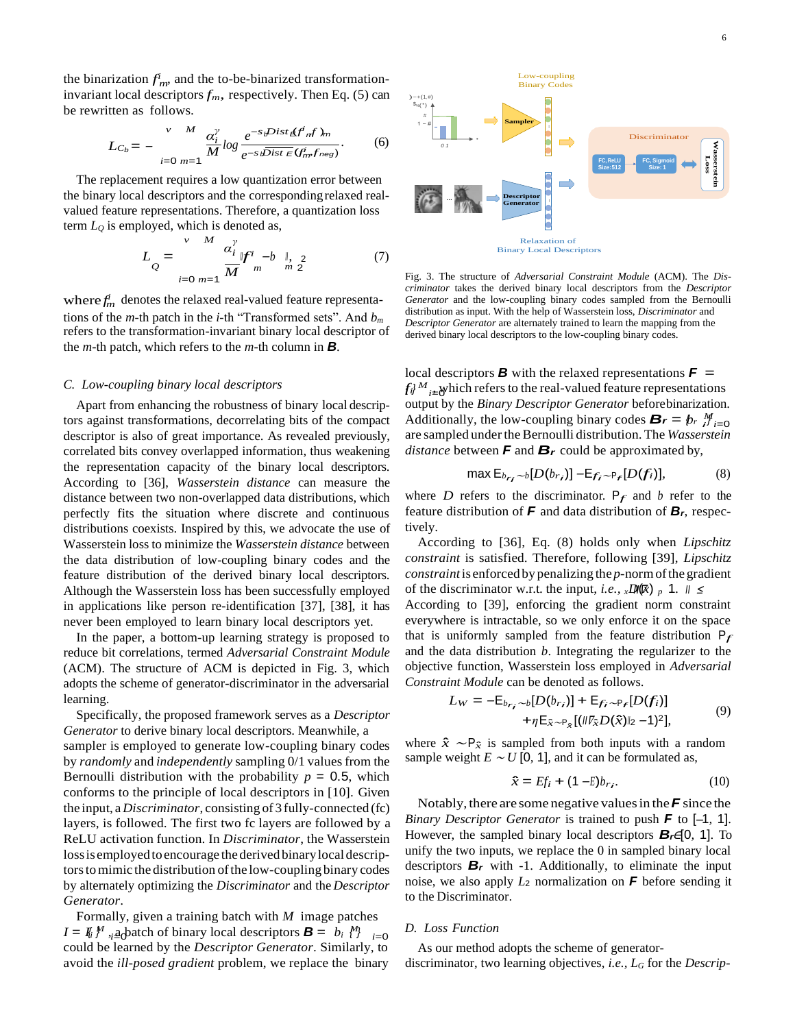the binarization  $f<sub>nn</sub>$  and the to-be-binarized transformationinvariant local descriptors  $f_m$ , respectively. Then Eq. (5) can be rewritten as follows.

$$
L_{C_b} = - \sum_{i=0}^{V} \frac{M}{m-1} \frac{\alpha_i^{\gamma}}{M} \log \frac{e^{-s} \omega^{Dist} \cancel{E}^{f^i} \cancel{m}}{e^{-s} \omega^{Dist} \cancel{E}(f^i_m f_{neg})}.
$$
 (6)

The replacement requires a low quantization error between the binary local descriptors and the correspondingrelaxed real- **…** valued feature representations. Therefore, a quantization loss term *L<sup>Q</sup>* is employed, which is denoted as,

$$
L_{Q} = \sum_{i=0 \ m=1}^{V} \frac{\alpha_{i}^{y}}{M} y_{m}^{i} - b \parallel_{N} 2 \qquad (7)
$$

where  $f_m^i$  denotes the relaxed real-valued feature representations of the *m*-th patch in the *i*-th "Transformed sets". And  $b_m$  distribution as input. With the help of Wasserstein loss, *Discriminator* and tions of the *m*-th patch in the *i*-th "Transformed sets". And  $b_m$ refers to the transformation-invariant binary local descriptor of the *m*-th patch, which refers to the *m*-th column in *B*.

## *C. Low-coupling binary local descriptors*

Apart from enhancing the robustness of binary local descriptors against transformations, decorrelating bits of the compact descriptor is also of great importance. As revealed previously, correlated bits convey overlapped information, thus weakening the representation capacity of the binary local descriptors. According to [36], *Wasserstein distance* can measure the distance between two non-overlapped data distributions, which perfectly fits the situation where discrete and continuous distributions coexists. Inspired by this, we advocate the use of Wasserstein loss to minimize the *Wasserstein distance* between the data distribution of low-coupling binary codes and the feature distribution of the derived binary local descriptors. Although the Wasserstein loss has been successfully employed in applications like person re-identification [37], [38], it has never been employed to learn binary local descriptors yet.

In the paper, a bottom-up learning strategy is proposed to reduce bit correlations, termed *Adversarial Constraint Module*  (ACM). The structure of ACM is depicted in Fig. 3, which adopts the scheme of generator-discriminator in the adversarial learning.

Specifically, the proposed framework serves as a *Descriptor Generator* to derive binary local descriptors. Meanwhile, a sampler is employed to generate low-coupling binary codes by *randomly* and *independently* sampling 0/1 valuesfrom the Bernoulli distribution with the probability  $p = 0.5$ , which conforms to the principle of local descriptors in [10]. Given the input, a *Discriminator*, consisting of 3 fully-connected (fc) layers, is followed. The first two fc layers are followed by a ReLU activation function. In *Discriminator*, the Wasserstein loss is employed to encourage the derived binary local descriptors to mimic the distribution of the low-coupling binary codes by alternately optimizing the *Discriminator* and the *Descriptor Generator*.

 $I = I_i$  *i*<sup>*M*</sup>, <u>a</u> batch of binary local descriptors  $B = b_i$  *M*<sub>*i*=0</sub> Formally, given a training batch with *M* image patches could be learned by the *Descriptor Generator*. Similarly, to avoid the *ill-posed gradient* problem, we replace the binary



Fig. 3. The structure of *Adversarial Constraint Module* (ACM). The *Discriminator* takes the derived binary local descriptors from the *Descriptor Generator* and the low-coupling binary codes sampled from the Bernoulli *Descriptor Generator* are alternately trained to learn the mapping from the derived binary local descriptors to the low-coupling binary codes.

 $f_i^{\mathcal{U}}$ <sup>*M*</sup><sub>i $\pm$ </sub> which refers to the real-valued feature representations Additionally, the low-coupling binary codes  $B_r = b_r \frac{M}{l} = 0$ local descriptors *B* with the relaxed representations  $\boldsymbol{F}$  = output by the *Binary Descriptor Generator* beforebinarization. are sampled under the Bernoulli distribution. The *Wasserstein distance* between *F* and *B<sup>r</sup>* could be approximated by,

$$
\max \mathsf{E}_{b_{r_i} \sim b}[D(b_{r_i})] - \mathsf{E}_{f_i \sim \mathsf{P}_r}[D(f_i)],\tag{8}
$$

where *D* refers to the discriminator.  $P_f$  and *b* refer to the feature distribution of *F* and data distribution of *Br*, respectively.

of the discriminator w.r.t. the input, *i.e.*,  $x$ *D***(** $\mathbb{R}$ ) *p* 1. *Ⅱ* ≤ According to [36], Eq. (8) holds only when *Lipschitz constraint* is satisfied. Therefore, following [39], *Lipschitz constraint* is enforced by penalizing the *p*-normofthe gradient According to [39], enforcing the gradient norm constraint everywhere is intractable, so we only enforce it on the space that is uniformly sampled from the feature distribution  $P_f$ and the data distribution *b*. Integrating the regularizer to the objective function, Wasserstein loss employed in *Adversarial Constraint Module* can be denoted as follows.

$$
L_W = -E_{b_{r_i} \sim b}[D(b_{r_i})] + E_{f_i \sim P_f}[D(f_i)] + \eta E_{\hat{x} \sim P_{\hat{x}}}[(\|\mathcal{V}_{\hat{x}}D(\hat{x})\|_2 - 1)^2],
$$
\n(9)

where  $\hat{x} \sim P_{\hat{x}}$  is sampled from both inputs with a random sample weight  $E \sim U$  [0, 1], and it can be formulated as,

$$
\hat{x} = Ef_i + (1 - E)b_{r_i} \tag{10}
$$

However, the sampled binary local descriptors  $B_r \in [0, 1]$ . To *Binary Descriptor Generator* is trained to push *F* to [−1, 1]. Notably, there are some negative valuesin the*F* since the unify the two inputs, we replace the 0 in sampled binary local descriptors  $B_r$  with -1. Additionally, to eliminate the input noise, we also apply *L*<sup>2</sup> normalization on *F* before sending it to the Discriminator.

# *D. Loss Function*

As our method adopts the scheme of generatordiscriminator, two learning objectives, *i.e., L<sup>G</sup>* for the *Descrip-*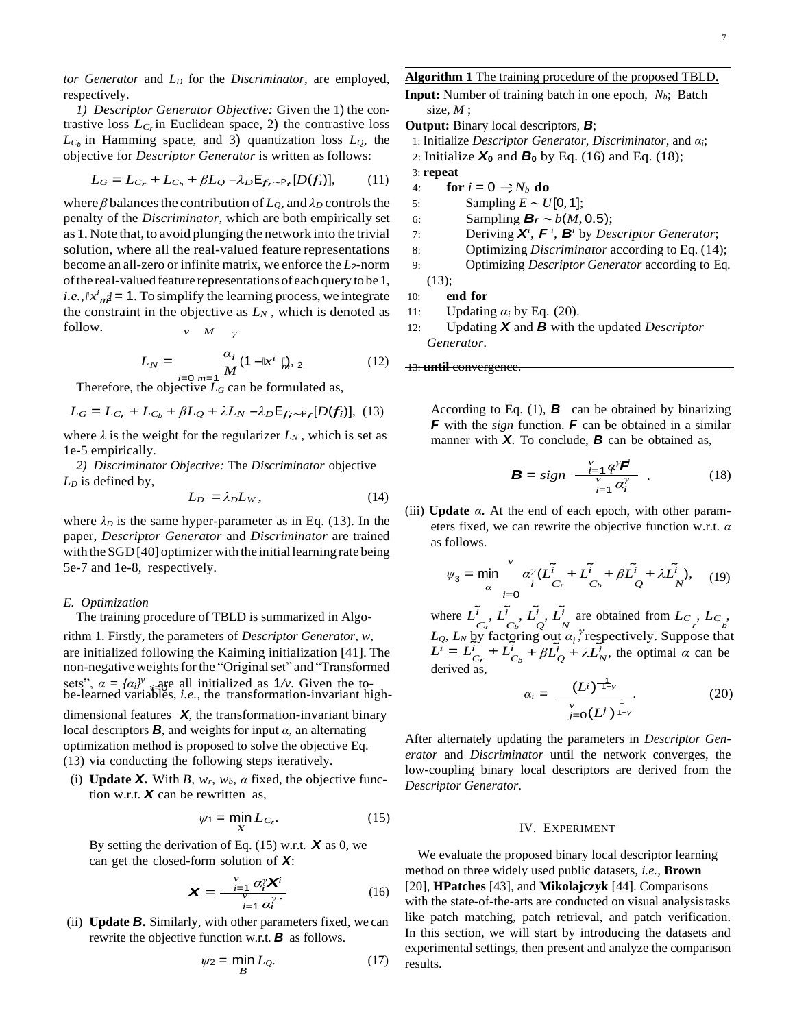*tor Generator* and *L<sup>D</sup>* for the *Discriminator*, are employed, respectively.

*1) Descriptor Generator Objective:* Given the 1) the contrastive loss  $L_{C_r}$  in Euclidean space, 2) the contrastive loss  $L_{C_b}$  in Hamming space, and 3) quantization loss  $L_Q$ , the objective for *Descriptor Generator* is written asfollows:

$$
L_G = L_{C_r} + L_{C_b} + \beta L_Q - \lambda_D \mathsf{E}_{f_i \sim \mathsf{P}_f}[D(f_i)],\tag{11}
$$

*i.e.*,  $|x^i_{\mathit{m}}| = 1$ . To simplify the learning process, we integrate where  $\beta$  balances the contribution of  $L_{Q}$ , and  $\lambda_{D}$  controls the penalty of the *Discriminator*, which are both empirically set as 1. Note that, to avoid plunging the network into the trivial solution, where all the real-valued feature representations become an all-zero or infinite matrix, we enforce the *L*2-norm of the real-valued feature representations of each query to be 1, the constraint in the objective as  $L_N$ , which is denoted as follow. *<sup>v</sup> <sup>M</sup> <sup>γ</sup>*

$$
L_N = \frac{\alpha_i}{M} (1 - |x^i|_m^2, 2 \tag{12}
$$

Therefore, the objective  $L_G$  can be formulated as,

$$
L_G = L_{C_r} + L_{C_b} + \beta L_Q + \lambda L_N - \lambda_D \mathsf{E}_{f_i \sim \mathsf{P}_f}[D(f_i)], \quad (13)
$$

where  $\lambda$  is the weight for the regularizer  $L_N$ , which is set as 1e-5 empirically.

2) *Discriminator Objective:* The *Discriminator* objective  $L_D$  is defined by,  $B = sign$ 

$$
L_D = \lambda_D L_W, \qquad (14)
$$

where  $\lambda_D$  is the same hyper-parameter as in Eq. (13). In the paper, *Descriptor Generator* and *Discriminator* are trained with the SGD [40] optimizer with the initial learning rate being 5e-7 and 1e-8, respectively.

## *E. Optimization*

The training procedure of TBLD is summarized in Algo-

sets",  $\alpha = {\alpha_i}^y$ , are all initialized as  $1/v$ . Given the to-<br>be-learned variables, *i.e.*, the transformation-invariant high-<br> $\alpha_i = \frac{(L^i)^{-1}}{(L^i)^{-1}}$  (20) rithm 1. Firstly, the parameters of *Descriptor Generator*, *w*,  $L_Q$ ,  $L_N$  by factoring out  $\alpha_i$ , respectively. Suppose that  $\alpha_i$  is a set initialized following the Kaiming initialization [41]. The  $L^i = L^i + L^i + R^i + R^i$ are initialized following the Kaiming initialization [41]. The non-negative weights for the "Original set" and "Transformed"

dimensional features *X*, the transformation-invariant binary local descriptors *B*, and weights for input *α*, an alternating optimization method is proposed to solve the objective Eq. (13) via conducting the following steps iteratively.

(i) **Update** *X***.** With *B*,  $w_r$ ,  $w_b$ ,  $\alpha$  fixed, the objective function w.r.t.  $\boldsymbol{X}$  can be rewritten as,

$$
\psi_1 = \min_X L_{C_r}.\tag{15}
$$

By setting the derivation of Eq. (15) w.r.t. *X* as 0, we can get the closed-form solution of *X*:

$$
\mathbf{X} = \frac{\sum_{i=1}^{V} \alpha_i^{\gamma} \mathbf{X}^i}{\sum_{i=1}^{V} \alpha_i^{\gamma}}.
$$
 (16)

(ii) **Update** *B***.** Similarly, with other parameters fixed, we can rewrite the objective function w.r.t. *B* as follows.

$$
\psi_2 = \min_B L_Q. \tag{17}
$$

**Algorithm 1** The training procedure of the proposed TBLD. **Input:** Number of training batch in one epoch, *Nb*; Batch size, *M* ;

- **Output:** Binary local descriptors, *B*;
	- 1: Initialize *Descriptor Generator*, *Discriminator*, and *αi*;
	- 2: Initialize *X***<sup>0</sup>** and *B***<sup>0</sup>** by Eq. (16) and Eq. (18);
- 3: **repeat**
- $\oint$  +  $\int$  **for**  $i = 0 \Rightarrow N_b$  **do**
- 5: Sampling  $E \sim U[0, 1]$ ;
- 6: Sampling  $B_r \sim b(M, 0.5)$ ;
- 7: Deriving  $X^i$ ,  $F^i$ ,  $B^i$  by *Descriptor Generator*;
- 8: Optimizing *Discriminator* according to Eq. (14);
- 9: Optimizing *Descriptor Generator* according to Eq. (13);

```
10: end for
```
- 11: Updating  $\alpha_i$  by Eq. (20).
- 12: Updating *X* and *B* with the updated *Descriptor Generator*.

**13: until convergence** 

According to Eq.  $(1)$ , **B** can be obtained by binarizing *F* with the *sign* function. *F* can be obtained in a similar manner with *X*. To conclude, *B* can be obtained as,

$$
\mathbf{B} = sign \frac{\sum_{i=1}^{V} \mathbf{q}^{\gamma} \mathbf{F}}{\sum_{i=1}^{V} \mathbf{q}^{\gamma}} \tag{18}
$$

(iii) **Update**  $\alpha$ . At the end of each epoch, with other parameters fixed, we can rewrite the objective function w.r.t. *α*  as follows.

$$
\psi_3 = \min_{\alpha} \sum_{i=0}^{V} \alpha_i^{\gamma} (L_{C_r}^{\tilde{i}} + L_{C_b}^{\tilde{i}} + \beta L_{Q}^{\tilde{i}} + \lambda L_{N}^{\tilde{i}}), \quad (19)
$$

 $L^i = L^i_{Cr} + L^i_{C_b} + \beta L^i_{Q} + \lambda L^i_{N}$ , the optimal *α* can be  $\tilde{C}_r, \tilde{C}_r, \tilde{C}_b, \tilde{C}_c, \tilde{C}_d$  are obtained from  $L_c, L_c$ ,  $L_c$ derived as,

$$
\alpha_i = \frac{(L^j)^{\frac{1}{1-\gamma}}}{\int_{j=0}^{\nu} (L^j)^{\frac{1}{1-\gamma}}}.
$$
\n(20)

After alternately updating the parameters in *Descriptor Generator* and *Discriminator* until the network converges, the low-coupling binary local descriptors are derived from the *Descriptor Generator*.

## IV. EXPERIMENT

We evaluate the proposed binary local descriptor learning method on three widely used public datasets, *i.e.,* **Brown** (16) [20], **HPatches** [43], and **Mikolajczyk** [44]. Comparisons with the state-of-the-arts are conducted on visual analysistasks like patch matching, patch retrieval, and patch verification. In this section, we will start by introducing the datasets and experimental settings, then present and analyze the comparison results.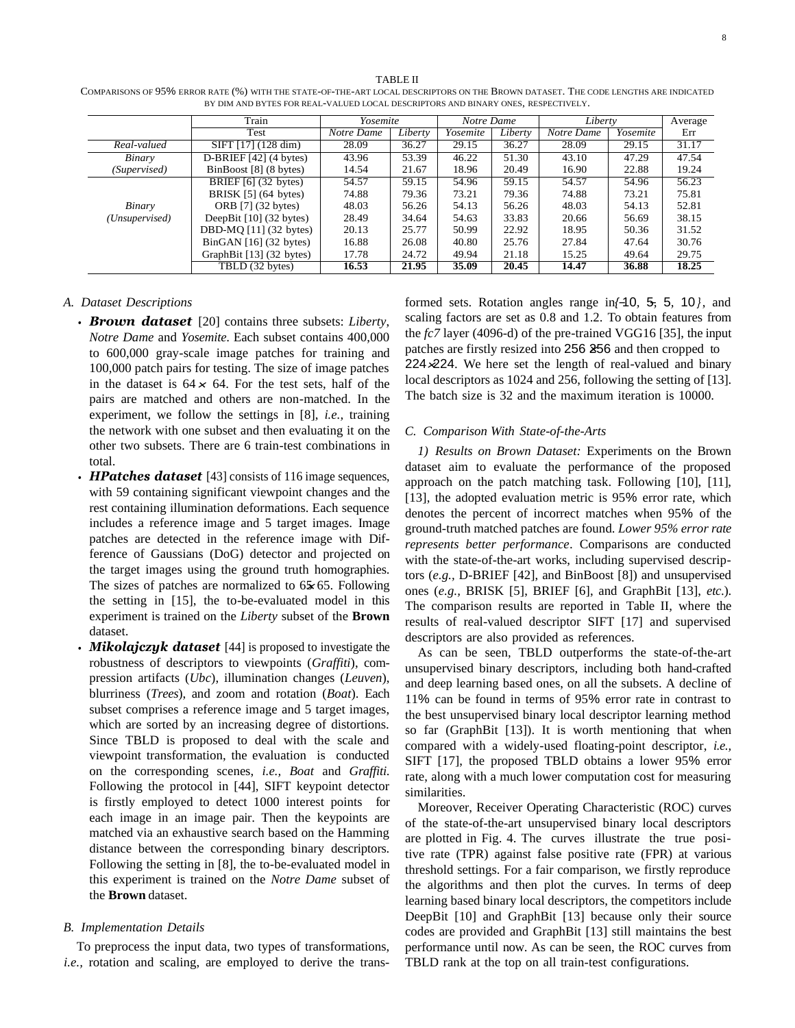|                | Train                                | Yosemite   |         | Notre Dame |         | Liberty    |          | Average |
|----------------|--------------------------------------|------------|---------|------------|---------|------------|----------|---------|
|                | Test                                 | Notre Dame | Liberty | Yosemite   | Liberty | Notre Dame | Yosemite | Err     |
| Real-valued    | SIFT [17] (128 dim)                  | 28.09      | 36.27   | 29.15      | 36.27   | 28.09      | 29.15    | 31.17   |
| Binary         | $\overline{D-BR}$ IEF [42] (4 bytes) | 43.96      | 53.39   | 46.22      | 51.30   | 43.10      | 47.29    | 47.54   |
| (Supervised)   | BinBoost [8] (8 bytes)               | 14.54      | 21.67   | 18.96      | 20.49   | 16.90      | 22.88    | 19.24   |
|                | BRIEF $[6]$ (32 bytes)               | 54.57      | 59.15   | 54.96      | 59.15   | 54.57      | 54.96    | 56.23   |
|                | BRISK $[5]$ (64 bytes)               | 74.88      | 79.36   | 73.21      | 79.36   | 74.88      | 73.21    | 75.81   |
| Binary         | ORB [7] (32 bytes)                   | 48.03      | 56.26   | 54.13      | 56.26   | 48.03      | 54.13    | 52.81   |
| (Unsupervised) | DeepBit $[10]$ (32 bytes)            | 28.49      | 34.64   | 54.63      | 33.83   | 20.66      | 56.69    | 38.15   |
|                | DBD-MQ $[11]$ $(32 \text{ bytes})$   | 20.13      | 25.77   | 50.99      | 22.92   | 18.95      | 50.36    | 31.52   |
|                | BinGAN $[16]$ (32 bytes)             | 16.88      | 26.08   | 40.80      | 25.76   | 27.84      | 47.64    | 30.76   |
|                | GraphBit [13] (32 bytes)             | 17.78      | 24.72   | 49.94      | 21.18   | 15.25      | 49.64    | 29.75   |
|                | TBLD (32 bytes)                      | 16.53      | 21.95   | 35.09      | 20.45   | 14.47      | 36.88    | 18.25   |

TABLE II COMPARISONS OF 95% ERROR RATE (%) WITH THE STATE-OF-THE-ART LOCAL DESCRIPTORS ON THE BROWN DATASET. THE CODE LENGTHS ARE INDICATED BY DIM AND BYTES FOR REAL-VALUED LOCAL DESCRIPTORS AND BINARY ONES, RESPECTIVELY.

#### *A. Dataset Descriptions*

- in the dataset is  $64 \times 64$ . For the test sets, half of the *• Brown dataset* [20] contains three subsets: *Liberty*, *Notre Dame* and *Yosemite*. Each subset contains 400,000 to 600,000 gray-scale image patches for training and 100,000 patch pairs for testing. The size of image patches pairs are matched and others are non-matched. In the experiment, we follow the settings in [8], *i.e.,* training the network with one subset and then evaluating it on the other two subsets. There are 6 train-test combinations in total.
- The sizes of patches are normalized to 65×65. Following *• HPatches dataset* [43] consists of 116 image sequences, with 59 containing significant viewpoint changes and the rest containing illumination deformations. Each sequence includes a reference image and 5 target images. Image patches are detected in the reference image with Difference of Gaussians (DoG) detector and projected on the target images using the ground truth homographies. the setting in [15], the to-be-evaluated model in this experiment is trained on the *Liberty* subset of the **Brown**  dataset.
- *Mikolajczyk dataset* [44] is proposed to investigate the robustness of descriptors to viewpoints (*Graffiti*), compression artifacts (*Ubc*), illumination changes (*Leuven*), blurriness (*Trees*), and zoom and rotation (*Boat*). Each subset comprises a reference image and 5 target images, which are sorted by an increasing degree of distortions. Since TBLD is proposed to deal with the scale and viewpoint transformation, the evaluation is conducted on the corresponding scenes, *i.e., Boat* and *Graffiti*. Following the protocol in [44], SIFT keypoint detector is firstly employed to detect 1000 interest points for each image in an image pair. Then the keypoints are matched via an exhaustive search based on the Hamming distance between the corresponding binary descriptors. Following the setting in [8], the to-be-evaluated model in this experiment is trained on the *Notre Dame* subset of the **Brown** dataset.

## *B. Implementation Details*

To preprocess the input data, two types of transformations, *i.e.*, rotation and scaling, are employed to derive the trans-

224  $\times$  224. We here set the length of real-valued and binary patches are firstly resized into 256 256 and then cropped to formed sets. Rotation angles range in  $\{-10, 5, 5, 10\}$ , and scaling factors are set as 0.8 and 1.2. To obtain features from the *fc7* layer (4096-d) of the pre-trained VGG16 [35], the input local descriptors as 1024 and 256, following the setting of [13]. The batch size is 32 and the maximum iteration is 10000.

# *C. Comparison With State-of-the-Arts*

*1) Results on Brown Dataset:* Experiments on the Brown dataset aim to evaluate the performance of the proposed approach on the patch matching task. Following [10], [11], [13], the adopted evaluation metric is 95% error rate, which denotes the percent of incorrect matches when 95% of the ground-truth matched patches are found. *Lower 95% error rate represents better performance*. Comparisons are conducted with the state-of-the-art works, including supervised descriptors (*e.g.,* D-BRIEF [42], and BinBoost [8]) and unsupervised ones (*e.g.,* BRISK [5], BRIEF [6], and GraphBit [13], *etc*.). The comparison results are reported in Table II, where the results of real-valued descriptor SIFT [17] and supervised descriptors are also provided as references.

As can be seen, TBLD outperforms the state-of-the-art unsupervised binary descriptors, including both hand-crafted and deep learning based ones, on all the subsets. A decline of 11% can be found in terms of 95% error rate in contrast to the best unsupervised binary local descriptor learning method so far (GraphBit [13]). It is worth mentioning that when compared with a widely-used floating-point descriptor, *i.e.,*  SIFT [17], the proposed TBLD obtains a lower 95% error rate, along with a much lower computation cost for measuring similarities.

Moreover, Receiver Operating Characteristic (ROC) curves of the state-of-the-art unsupervised binary local descriptors are plotted in Fig. 4. The curves illustrate the true positive rate (TPR) against false positive rate (FPR) at various threshold settings. For a fair comparison, we firstly reproduce the algorithms and then plot the curves. In terms of deep learning based binary local descriptors, the competitors include DeepBit [10] and GraphBit [13] because only their source codes are provided and GraphBit [13] still maintains the best performance until now. As can be seen, the ROC curves from TBLD rank at the top on all train-test configurations.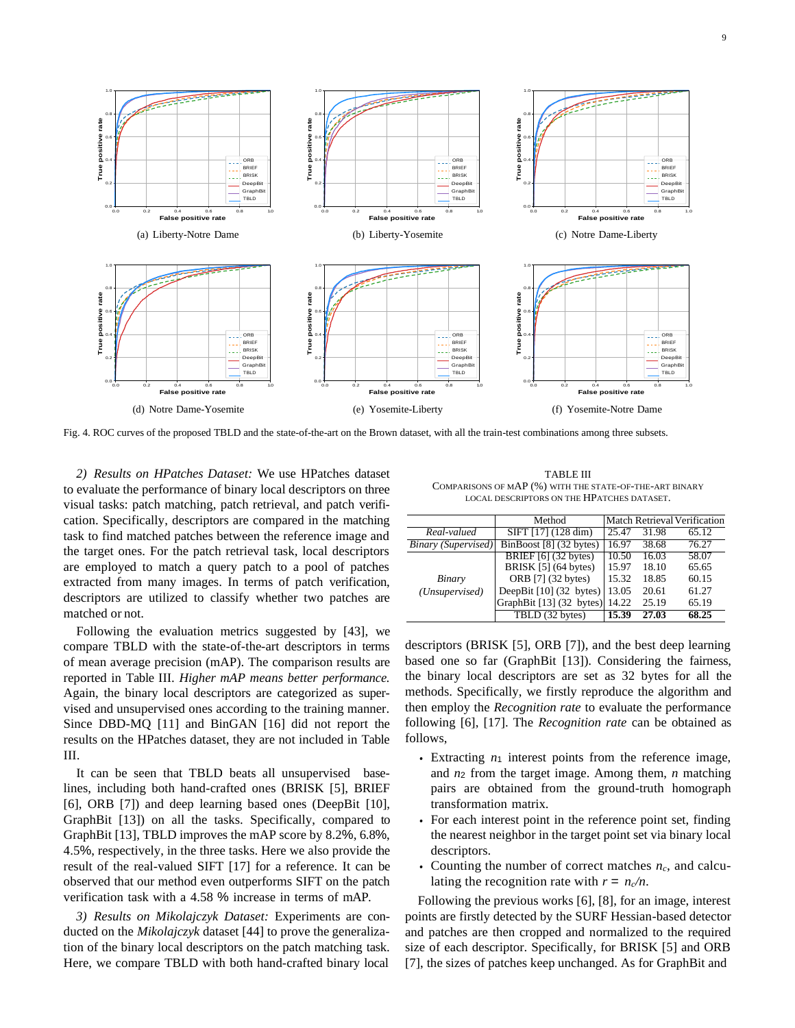

Fig. 4. ROC curves of the proposed TBLD and the state-of-the-art on the Brown dataset, with all the train-test combinations among three subsets.

*2) Results on HPatches Dataset:* We use HPatches dataset to evaluate the performance of binary local descriptors on three visual tasks: patch matching, patch retrieval, and patch verification. Specifically, descriptors are compared in the matching task to find matched patches between the reference image and the target ones. For the patch retrieval task, local descriptors are employed to match a query patch to a pool of patches extracted from many images. In terms of patch verification, descriptors are utilized to classify whether two patches are matched or not.

Following the evaluation metrics suggested by [43], we compare TBLD with the state-of-the-art descriptors in terms of mean average precision (mAP). The comparison results are reported in Table III. *Higher mAP means better performance.*  Again, the binary local descriptors are categorized as supervised and unsupervised ones according to the training manner. Since DBD-MQ [11] and BinGAN [16] did not report the results on the HPatches dataset, they are not included in Table III.

It can be seen that TBLD beats all unsupervised baselines, including both hand-crafted ones (BRISK [5], BRIEF [6], ORB [7]) and deep learning based ones (DeepBit [10], GraphBit [13]) on all the tasks. Specifically, compared to GraphBit [13], TBLD improves the mAP score by 8.2%, 6.8%, 4.5%, respectively, in the three tasks. Here we also provide the result of the real-valued SIFT [17] for a reference. It can be observed that our method even outperforms SIFT on the patch verification task with a 4.58 % increase in terms of mAP.

*3) Results on Mikolajczyk Dataset:* Experiments are conducted on the *Mikolajczyk* dataset [44] to prove the generalization of the binary local descriptors on the patch matching task. Here, we compare TBLD with both hand-crafted binary local

TABLE III COMPARISONS OF MAP (%) WITH THE STATE-OF-THE-ART BINARY LOCAL DESCRIPTORS ON THE HPATCHES DATASET.

|                            | Method                                      |       |       | <b>Match Retrieval Verification</b> |
|----------------------------|---------------------------------------------|-------|-------|-------------------------------------|
| Real-valued                | SIFT $[17]$ $(128 \text{ dim})$             | 25.47 | 31.98 | $\overline{6}5.12$                  |
| <b>Binary</b> (Supervised) | $\overline{\text{BinBoost} [8]}$ (32 bytes) | 16.97 | 38.68 | 76.27                               |
|                            | BRIEF $[6]$ (32 bytes)                      | 10.50 | 16.03 | 58.07                               |
|                            | BRISK [5] (64 bytes)                        | 15.97 | 18.10 | 65.65                               |
| Binary                     | ORB [7] (32 bytes)                          | 15.32 | 18.85 | 60.15                               |
| (Unsupervised)             | DeepBit [10] (32 bytes)                     | 13.05 | 20.61 | 61.27                               |
|                            | GraphBit [13] (32 bytes)                    | 14.22 | 25.19 | 65.19                               |
|                            | TBLD (32 bytes)                             | 15.39 | 27.03 | 68.25                               |

descriptors (BRISK [5], ORB [7]), and the best deep learning based one so far (GraphBit [13]). Considering the fairness, the binary local descriptors are set as 32 bytes for all the methods. Specifically, we firstly reproduce the algorithm and then employ the *Recognition rate* to evaluate the performance following [6], [17]. The *Recognition rate* can be obtained as follows,

- Extracting  $n_1$  interest points from the reference image, and *n*<sup>2</sup> from the target image. Among them, *n* matching pairs are obtained from the ground-truth homograph transformation matrix.
- *•* For each interest point in the reference point set, finding the nearest neighbor in the target point set via binary local descriptors.
- *•* Counting the number of correct matches *nc*, and calculating the recognition rate with  $r = n_c/n$ .

Following the previous works [6], [8], for an image, interest points are firstly detected by the SURF Hessian-based detector and patches are then cropped and normalized to the required size of each descriptor. Specifically, for BRISK [5] and ORB [7], the sizes of patches keep unchanged. As for GraphBit and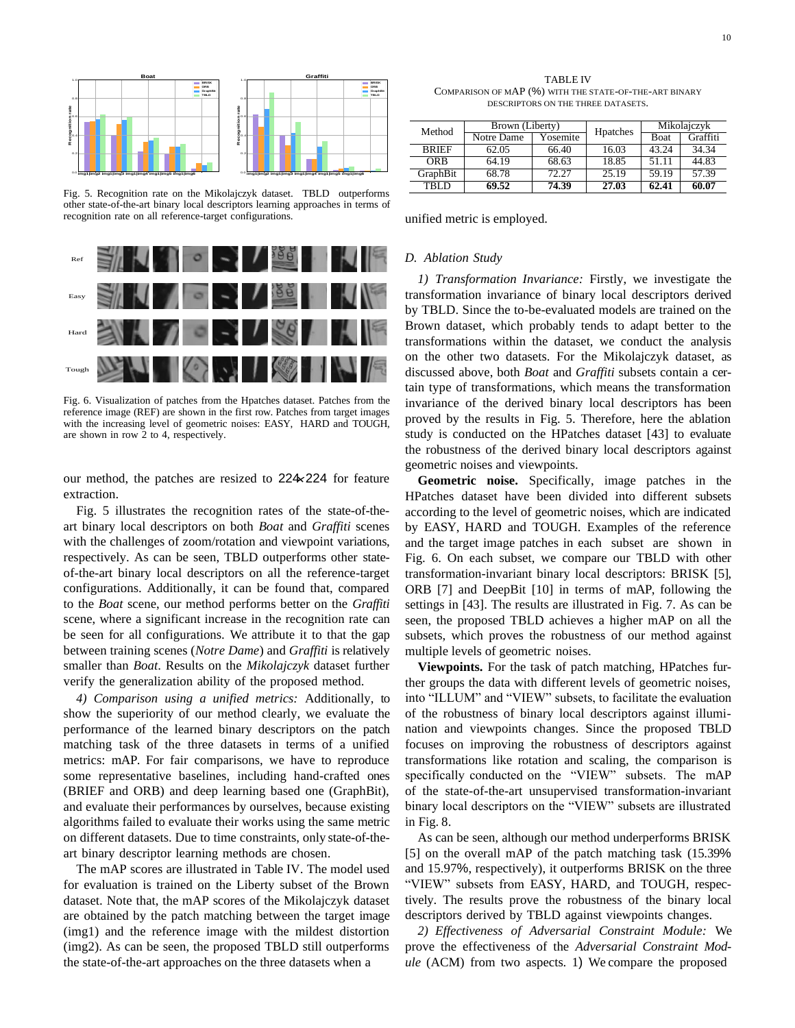

Fig. 5. Recognition rate on the Mikolajczyk dataset. TBLD outperforms other state-of-the-art binary local descriptors learning approaches in terms of recognition rate on all reference-target configurations.



Fig. 6. Visualization of patches from the Hpatches dataset. Patches from the reference image (REF) are shown in the first row. Patches from target images with the increasing level of geometric noises: EASY, HARD and TOUGH, are shown in row 2 to 4, respectively.

our method, the patches are resized to 224×224 for feature extraction.

Fig. 5 illustrates the recognition rates of the state-of-theart binary local descriptors on both *Boat* and *Graffiti* scenes with the challenges of zoom/rotation and viewpoint variations, respectively. As can be seen, TBLD outperforms other stateof-the-art binary local descriptors on all the reference-target configurations. Additionally, it can be found that, compared to the *Boat* scene, our method performs better on the *Graffiti*  scene, where a significant increase in the recognition rate can be seen for all configurations. We attribute it to that the gap between training scenes (*Notre Dame*) and *Graffiti* is relatively smaller than *Boat*. Results on the *Mikolajczyk* dataset further verify the generalization ability of the proposed method.

*4) Comparison using a unified metrics:* Additionally, to show the superiority of our method clearly, we evaluate the performance of the learned binary descriptors on the patch matching task of the three datasets in terms of a unified metrics: mAP. For fair comparisons, we have to reproduce some representative baselines, including hand-crafted ones (BRIEF and ORB) and deep learning based one (GraphBit), and evaluate their performances by ourselves, because existing algorithms failed to evaluate their works using the same metric on different datasets. Due to time constraints, only state-of-theart binary descriptor learning methods are chosen.

The mAP scores are illustrated in Table IV. The model used for evaluation is trained on the Liberty subset of the Brown dataset. Note that, the mAP scores of the Mikolajczyk dataset are obtained by the patch matching between the target image (img1) and the reference image with the mildest distortion (img2). As can be seen, the proposed TBLD still outperforms the state-of-the-art approaches on the three datasets when a

**Graffiti** TABLE IV COMPARISON OF MAP (%) WITH THE STATE-OF-THE-ART BINARY DESCRIPTORS ON THE THREE DATASETS.

| Method       | Brown (Liberty) |          | Hpatches | Mikolajczyk |          |
|--------------|-----------------|----------|----------|-------------|----------|
|              | Notre Dame      | Yosemite |          | Boat        | Graffiti |
| <b>BRIEF</b> | 62.05           | 66.40    | 16.03    | 43.24       | 34.34    |
| ORB          | 64.19           | 68.63    | 18.85    | 51.11       | 44.83    |
| GraphBit     | 68.78           | 72.27    | 25.19    | 59.19       | 57.39    |
| TRI D        | 69.52           | 74.39    | 27.03    | 62.41       | 60.07    |

unified metric is employed.

#### *D. Ablation Study*

*1) Transformation Invariance:* Firstly, we investigate the transformation invariance of binary local descriptors derived by TBLD. Since the to-be-evaluated models are trained on the Brown dataset, which probably tends to adapt better to the transformations within the dataset, we conduct the analysis on the other two datasets. For the Mikolajczyk dataset, as discussed above, both *Boat* and *Graffiti* subsets contain a certain type of transformations, which means the transformation invariance of the derived binary local descriptors has been proved by the results in Fig. 5. Therefore, here the ablation study is conducted on the HPatches dataset [43] to evaluate the robustness of the derived binary local descriptors against geometric noises and viewpoints.

**Geometric noise.** Specifically, image patches in the HPatches dataset have been divided into different subsets according to the level of geometric noises, which are indicated by EASY, HARD and TOUGH. Examples of the reference and the target image patches in each subset are shown in Fig. 6. On each subset, we compare our TBLD with other transformation-invariant binary local descriptors: BRISK [5], ORB [7] and DeepBit [10] in terms of mAP, following the settings in [43]. The results are illustrated in Fig. 7. As can be seen, the proposed TBLD achieves a higher mAP on all the subsets, which proves the robustness of our method against multiple levels of geometric noises.

**Viewpoints.** For the task of patch matching, HPatches further groups the data with different levels of geometric noises, into "ILLUM" and "VIEW" subsets, to facilitate the evaluation of the robustness of binary local descriptors against illumination and viewpoints changes. Since the proposed TBLD focuses on improving the robustness of descriptors against transformations like rotation and scaling, the comparison is specifically conducted on the "VIEW" subsets. The mAP of the state-of-the-art unsupervised transformation-invariant binary local descriptors on the "VIEW" subsets are illustrated in Fig. 8.

As can be seen, although our method underperforms BRISK [5] on the overall mAP of the patch matching task (15.39% and 15.97%, respectively), it outperforms BRISK on the three "VIEW" subsets from EASY, HARD, and TOUGH, respectively. The results prove the robustness of the binary local descriptors derived by TBLD against viewpoints changes.

*2) Effectiveness of Adversarial Constraint Module:* We prove the effectiveness of the *Adversarial Constraint Module* (ACM) from two aspects. 1) We compare the proposed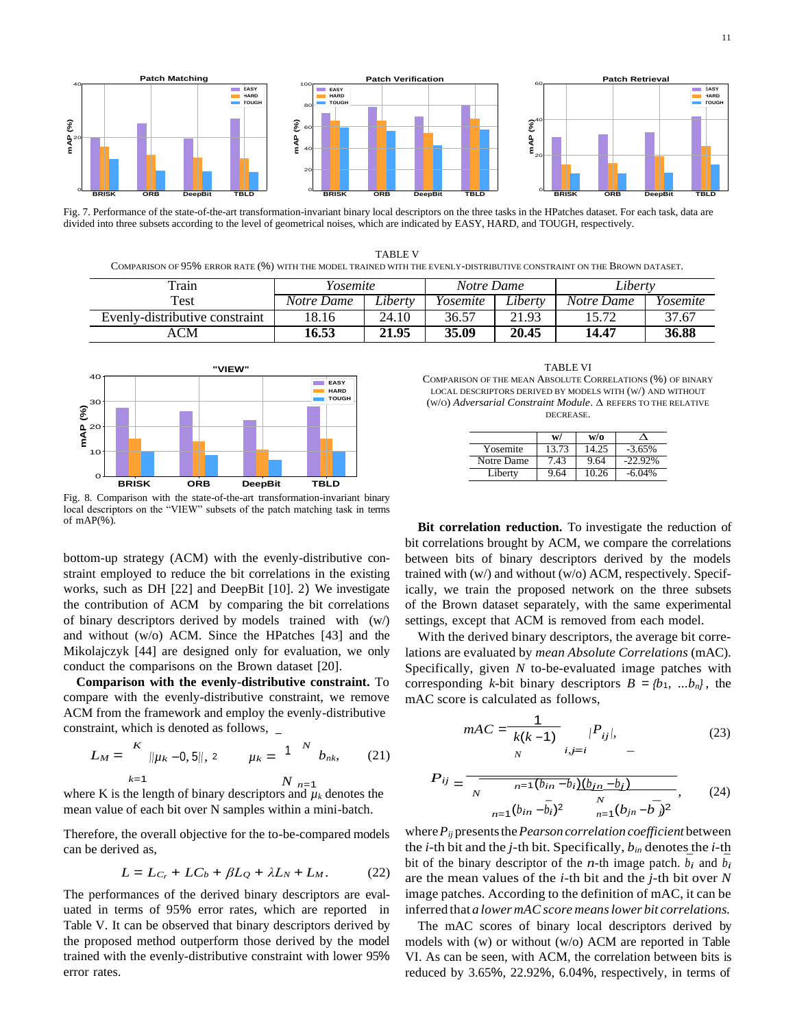

Fig. 7. Performance of the state-of-the-art transformation-invariant binary local descriptors on the three tasks in the HPatches dataset. For each task, data are divided into three subsets according to the level of geometrical noises, which are indicated by EASY, HARD, and TOUGH, respectively.

TABLE V COMPARISON OF 95% ERROR RATE (%) WITH THE MODEL TRAINED WITH THE EVENLY-DISTRIBUTIVE CONSTRAINT ON THE BROWN DATASET.

| Train                          | Yosemite   |         | Liberty<br>Notre Dame |         |            |          |
|--------------------------------|------------|---------|-----------------------|---------|------------|----------|
| Test                           | Notre Dame | Libertv | Yosemite              | Liberty | Notre Dame | Yosemite |
| Evenly-distributive constraint | 18.16      | 24.10   | 36.57                 | 21.93   | 15.72      | 37.67    |
| ACM                            | 16.53      | 21.95   | 35.09                 | 20.45   | 14.47      | 36.88    |



Fig. 8. Comparison with the state-of-the-art transformation-invariant binary local descriptors on the "VIEW" subsets of the patch matching task in terms of  $mAP(\%)$ .

bottom-up strategy (ACM) with the evenly-distributive constraint employed to reduce the bit correlations in the existing works, such as DH [22] and DeepBit [10]. 2) We investigate the contribution of ACM by comparing the bit correlations of binary descriptors derived by models trained with (w/) and without (w/o) ACM. Since the HPatches [43] and the Mikolajczyk [44] are designed only for evaluation, we only conduct the comparisons on the Brown dataset [20].

**Comparison with the evenly-distributive constraint.** To compare with the evenly-distributive constraint, we remove ACM from the framework and employ the evenly-distributive constraint, which is denoted as follows,  $\overline{\phantom{a}}$ 

$$
L_M = \begin{array}{c} K \\ ||\mu_k - 0, 5||, 2 \\ k = 1 \end{array} \qquad \mu_k = \begin{array}{ccc} 1 & N \\ & b_{nk}, \\ & & (21) \end{array} \qquad \begin{array}{ccc} & & K(k-1) \\ & & & i, j = i \\ & & N & i, j = i \end{array}
$$

 $m$ <sup>*n*</sup> $p$ </sub>  $p$ <sup>*d*</sup> $p$ <sup>*a*</sup> $p$ </sub> *diacohieral bit over N* samples within a mini-batch.

Therefore, the overall objective for the to-be-compared models can be derived as,

$$
L = L_{C_r} + LC_b + \beta L_Q + \lambda L_N + L_M.
$$
 (22)

The performances of the derived binary descriptors are evaluated in terms of 95% error rates, which are reported in Table V. It can be observed that binary descriptors derived by the proposed method outperform those derived by the model trained with the evenly-distributive constraint with lower 95% error rates.

TABLE VI COMPARISON OF THE MEAN ABSOLUTE CORRELATIONS (%) OF BINARY LOCAL DESCRIPTORS DERIVED BY MODELS WITH (W/) AND WITHOUT (W/O) *Adversarial Constraint Module*. ∆ REFERS TO THE RELATIVE DECREASE.

|            | w/    | w/o   |            |
|------------|-------|-------|------------|
| Yosemite   | 13.73 | 14.25 | $-3.65%$   |
| Notre Dame | 7.43  | 9.64  | $-22.92\%$ |
| Liberty    | 9.64  | 10.26 | $-6.04\%$  |

**Bit correlation reduction.** To investigate the reduction of bit correlations brought by ACM, we compare the correlations between bits of binary descriptors derived by the models trained with (w/) and without (w/o) ACM, respectively. Specifically, we train the proposed network on the three subsets of the Brown dataset separately, with the same experimental settings, except that ACM is removed from each model.

corresponding *k*-bit binary descriptors  $B = \{b_1, \ldots, b_n\}$ , the With the derived binary descriptors, the average bit correlations are evaluated by *mean Absolute Correlations* (mAC). Specifically, given *N* to-be-evaluated image patches with mAC score is calculated as follows,

$$
mAC = \frac{1}{k(k-1)} \prod_{i,j=i} |P_{ij}|, \tag{23}
$$

where K is the length of binary descriptors and 
$$
\mu_k
$$
 denotes the mean value of each bit over N samples within a mini-batch. (24)

where*Pij* presentsthe*Pearson correlation coefficient* between the *i*-th bit and the *j*-th bit. Specifically, *bin* denotes the *i*-th bit of the binary descriptor of the *n*-th image patch.  $b_i$  and  $b_i$ are the mean values of the *i*-th bit and the *j*-th bit over *N*  image patches. According to the definition of mAC, it can be inferred that *a lower mACscore meanslower bit correlations.*

The mAC scores of binary local descriptors derived by models with (w) or without (w/o) ACM are reported in Table VI. As can be seen, with ACM, the correlation between bits is reduced by 3.65%, 22.92%, 6.04%, respectively, in terms of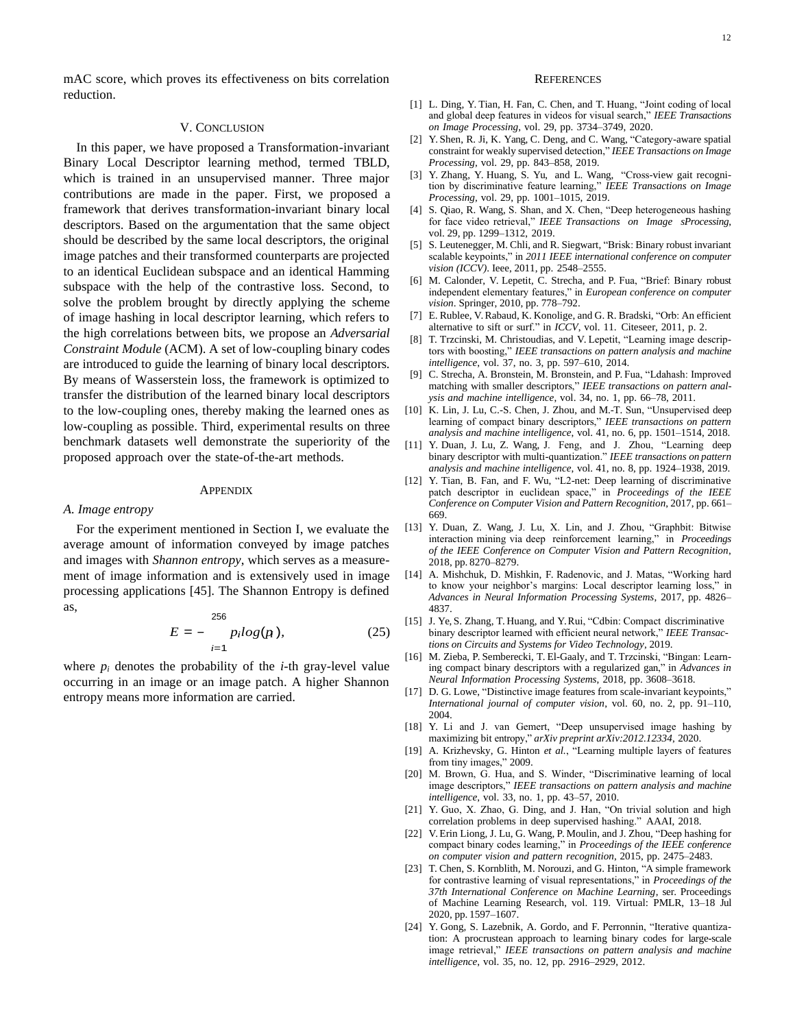mAC score, which proves its effectiveness on bits correlation reduction.

## V. CONCLUSION

In this paper, we have proposed a Transformation-invariant Binary Local Descriptor learning method, termed TBLD, which is trained in an unsupervised manner. Three major contributions are made in the paper. First, we proposed a framework that derives transformation-invariant binary local descriptors. Based on the argumentation that the same object should be described by the same local descriptors, the original image patches and their transformed counterparts are projected to an identical Euclidean subspace and an identical Hamming subspace with the help of the contrastive loss. Second, to solve the problem brought by directly applying the scheme of image hashing in local descriptor learning, which refers to the high correlations between bits, we propose an *Adversarial Constraint Module* (ACM). A set of low-coupling binary codes are introduced to guide the learning of binary local descriptors. By means of Wasserstein loss, the framework is optimized to transfer the distribution of the learned binary local descriptors to the low-coupling ones, thereby making the learned ones as low-coupling as possible. Third, experimental results on three benchmark datasets well demonstrate the superiority of the proposed approach over the state-of-the-art methods.

## **APPENDIX**

#### *A. Image entropy*

For the experiment mentioned in Section I, we evaluate the average amount of information conveyed by image patches and images with *Shannon entropy*, which serves as a measurement of image information and is extensively used in image processing applications [45]. The Shannon Entropy is defined as,

$$
E = -\frac{256}{p_i log(p_i)},
$$
 (25)

where  $p_i$  denotes the probability of the *i*-th gray-level value occurring in an image or an image patch. A higher Shannon entropy means more information are carried.

## **REFERENCES**

- [1] L. Ding, Y. Tian, H. Fan, C. Chen, and T. Huang, "Joint coding of local and global deep features in videos for visual search," *IEEE Transactions on Image Processing*, vol. 29, pp. 3734–3749, 2020.
- [2] Y. Shen, R. Ji, K. Yang, C. Deng, and C. Wang, "Category-aware spatial constraint for weakly supervised detection," *IEEE Transactions on Image Processing*, vol. 29, pp. 843–858, 2019.
- [3] Y. Zhang, Y. Huang, S. Yu, and L. Wang, "Cross-view gait recognition by discriminative feature learning," *IEEE Transactions on Image Processing*, vol. 29, pp. 1001–1015, 2019.
- [4] S. Qiao, R. Wang, S. Shan, and X. Chen, "Deep heterogeneous hashing for face video retrieval," *IEEE Transactions on Image sProcessing*, vol. 29, pp. 1299–1312, 2019.
- [5] S. Leutenegger, M. Chli, and R. Siegwart, "Brisk: Binary robust invariant scalable keypoints," in *2011 IEEE international conference on computer vision (ICCV)*. Ieee, 2011, pp. 2548–2555.
- [6] M. Calonder, V. Lepetit, C. Strecha, and P. Fua, "Brief: Binary robust independent elementary features," in *European conference on computer vision*. Springer, 2010, pp. 778–792.
- [7] E. Rublee, V. Rabaud, K. Konolige, and G. R. Bradski, "Orb: An efficient alternative to sift or surf." in *ICCV*, vol. 11. Citeseer, 2011, p. 2.
- [8] T. Trzcinski, M. Christoudias, and V. Lepetit, "Learning image descriptors with boosting," *IEEE transactions on pattern analysis and machine intelligence*, vol. 37, no. 3, pp. 597–610, 2014.
- [9] C. Strecha, A. Bronstein, M. Bronstein, and P. Fua, "Ldahash: Improved matching with smaller descriptors," *IEEE transactions on pattern analysis and machine intelligence*, vol. 34, no. 1, pp. 66–78, 2011.
- [10] K. Lin, J. Lu, C.-S. Chen, J. Zhou, and M.-T. Sun, "Unsupervised deep learning of compact binary descriptors," IEEE transactions on pattern *analysis and machine intelligence*, vol. 41, no. 6, pp. 1501–1514, 2018.
- [11] Y. Duan, J. Lu, Z. Wang, J. Feng, and J. Zhou, "Learning deep binary descriptor with multi-quantization." *IEEE transactions on pattern analysis and machine intelligence*, vol. 41, no. 8, pp. 1924–1938, 2019.
- [12] Y. Tian, B. Fan, and F. Wu, "L2-net: Deep learning of discriminative patch descriptor in euclidean space," in *Proceedings of the IEEE Conference on Computer Vision and Pattern Recognition*, 2017, pp. 661– 669.
- [13] Y. Duan, Z. Wang, J. Lu, X. Lin, and J. Zhou, "Graphbit: Bitwise interaction mining via deep reinforcement learning," in *Proceedings of the IEEE Conference on Computer Vision and Pattern Recognition*, 2018, pp. 8270–8279.
- [14] A. Mishchuk, D. Mishkin, F. Radenovic, and J. Matas, "Working hard to know your neighbor's margins: Local descriptor learning loss," in *Advances in Neural Information Processing Systems*, 2017, pp. 4826– 4837.
- [15] J. Ye, S. Zhang, T. Huang, and Y. Rui, "Cdbin: Compact discriminative binary descriptor learned with efficient neural network," *IEEE Transactions on Circuits and Systems for Video Technology*, 2019.
- [16] M. Zieba, P. Semberecki, T. El-Gaaly, and T. Trzcinski, "Bingan: Learning compact binary descriptors with a regularized gan," in *Advances in Neural Information Processing Systems*, 2018, pp. 3608–3618.
- [17] D. G. Lowe, "Distinctive image features from scale-invariant keypoints," *International journal of computer vision*, vol. 60, no. 2, pp. 91–110, 2004.
- [18] Y. Li and J. van Gemert, "Deep unsupervised image hashing by maximizing bit entropy," *arXiv preprint arXiv:2012.12334*, 2020.
- [19] A. Krizhevsky, G. Hinton *et al.*, "Learning multiple layers of features from tiny images," 2009.
- [20] M. Brown, G. Hua, and S. Winder, "Discriminative learning of local image descriptors," *IEEE transactions on pattern analysis and machine intelligence*, vol. 33, no. 1, pp. 43–57, 2010.
- [21] Y. Guo, X. Zhao, G. Ding, and J. Han, "On trivial solution and high correlation problems in deep supervised hashing." AAAI, 2018.
- [22] V. Erin Liong, J. Lu, G. Wang, P. Moulin, and J. Zhou, "Deep hashing for compact binary codes learning," in *Proceedings of the IEEE conference on computer vision and pattern recognition*, 2015, pp. 2475–2483.
- [23] T. Chen, S. Kornblith, M. Norouzi, and G. Hinton, "A simple framework for contrastive learning of visual representations," in *Proceedings of the 37th International Conference on Machine Learning*, ser. Proceedings of Machine Learning Research, vol. 119. Virtual: PMLR, 13–18 Jul 2020, pp. 1597–1607.
- [24] Y. Gong, S. Lazebnik, A. Gordo, and F. Perronnin, "Iterative quantization: A procrustean approach to learning binary codes for large-scale image retrieval," *IEEE transactions on pattern analysis and machine intelligence*, vol. 35, no. 12, pp. 2916–2929, 2012.